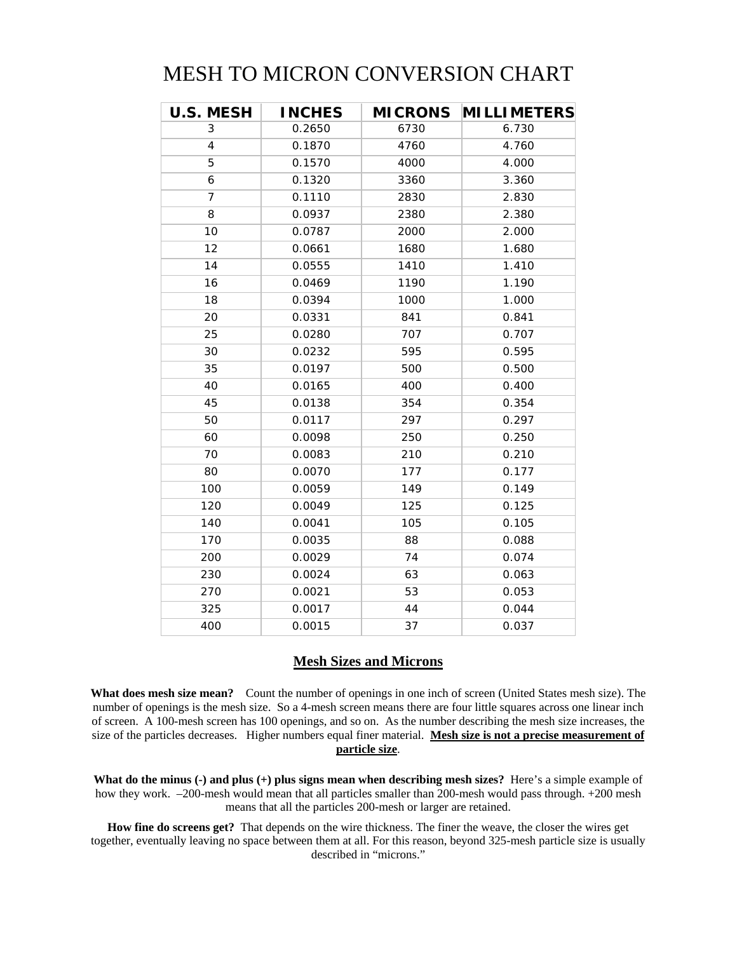## MESH TO MICRON CONVERSION CHART

| <b>U.S. MESH</b> | <b>INCHES</b> | <b>MICRONS</b> | <b>MILLIMETERS</b> |
|------------------|---------------|----------------|--------------------|
| 3                | 0.2650        | 6730           | 6.730              |
| 4                | 0.1870        | 4760           | 4.760              |
| 5                | 0.1570        | 4000           | 4.000              |
| 6                | 0.1320        | 3360           | 3.360              |
| 7                | 0.1110        | 2830           | 2.830              |
| 8                | 0.0937        | 2380           | 2.380              |
| 10               | 0.0787        | 2000           | 2.000              |
| 12               | 0.0661        | 1680           | 1.680              |
| 14               | 0.0555        | 1410           | 1.410              |
| 16               | 0.0469        | 1190           | 1.190              |
| 18               | 0.0394        | 1000           | 1.000              |
| 20               | 0.0331        | 841            | 0.841              |
| 25               | 0.0280        | 707            | 0.707              |
| 30               | 0.0232        | 595            | 0.595              |
| 35               | 0.0197        | 500            | 0.500              |
| 40               | 0.0165        | 400            | 0.400              |
| 45               | 0.0138        | 354            | 0.354              |
| 50               | 0.0117        | 297            | 0.297              |
| 60               | 0.0098        | 250            | 0.250              |
| 70               | 0.0083        | 210            | 0.210              |
| 80               | 0.0070        | 177            | 0.177              |
| 100              | 0.0059        | 149            | 0.149              |
| 120              | 0.0049        | 125            | 0.125              |
| 140              | 0.0041        | 105            | 0.105              |
| 170              | 0.0035        | 88             | 0.088              |
| 200              | 0.0029        | 74             | 0.074              |
| 230              | 0.0024        | 63             | 0.063              |
| 270              | 0.0021        | 53             | 0.053              |
| 325              | 0.0017        | 44             | 0.044              |
| 400              | 0.0015        | 37             | 0.037              |

## **Mesh Sizes and Microns**

**What does mesh size mean?** Count the number of openings in one inch of screen (United States mesh size). The number of openings is the mesh size. So a 4-mesh screen means there are four little squares across one linear inch of screen. A 100-mesh screen has 100 openings, and so on. As the number describing the mesh size increases, the size of the particles decreases. Higher numbers equal finer material. **Mesh size is not a precise measurement of particle size**.

**What do the minus (-) and plus (+) plus signs mean when describing mesh sizes?** Here's a simple example of how they work. –200-mesh would mean that all particles smaller than 200-mesh would pass through. +200 mesh means that all the particles 200-mesh or larger are retained.

**How fine do screens get?** That depends on the wire thickness. The finer the weave, the closer the wires get together, eventually leaving no space between them at all. For this reason, beyond 325-mesh particle size is usually described in "microns."